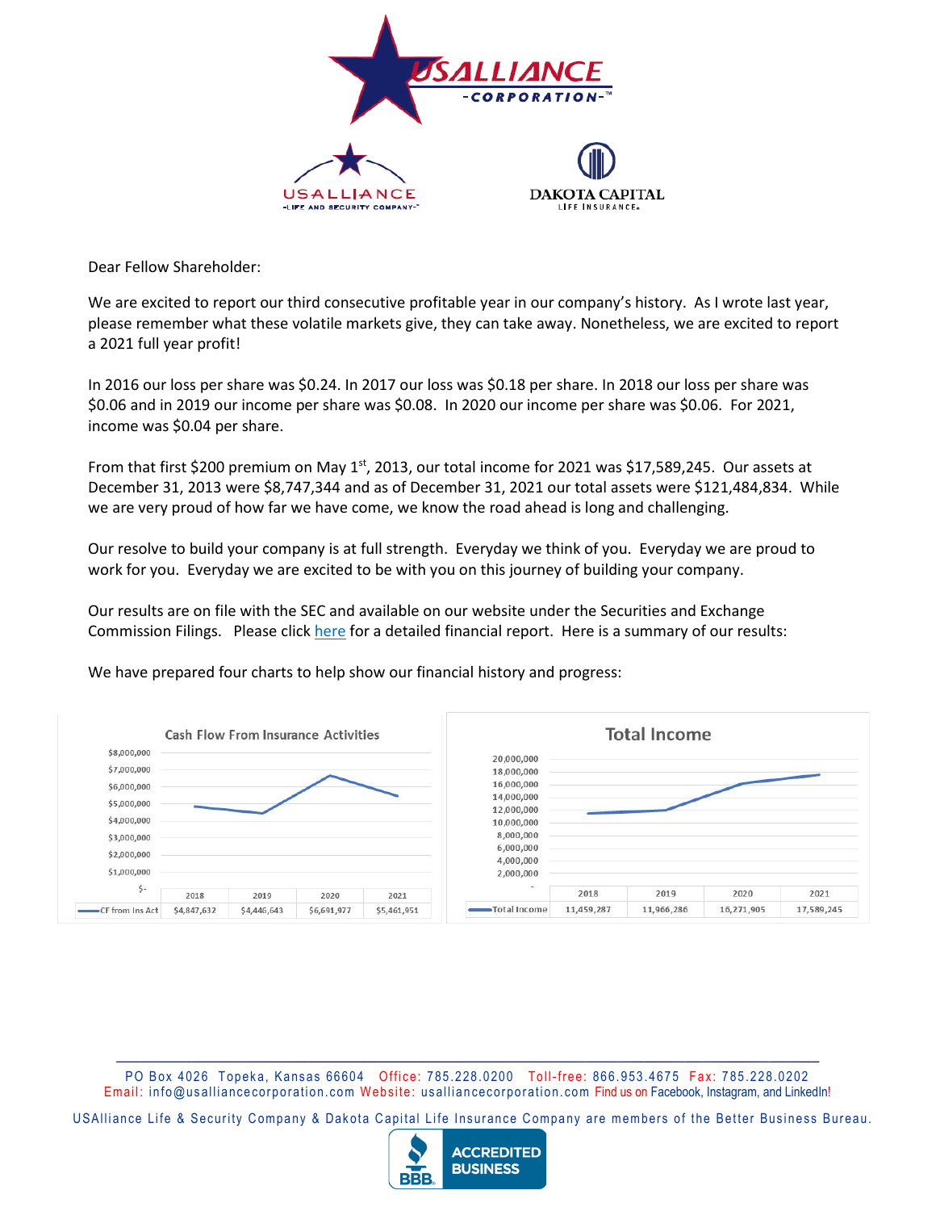

Dear Fellow Shareholder:

We are excited to report our third consecutive profitable year in our company's history. As I wrote last year, please remember what these volatile markets give, they can take away. Nonetheless, we are excited to report a 2021 full year profit!

In 2016 our loss per share was \$0.24. In 2017 our loss was \$0.18 per share. In 2018 our loss per share was \$0.06 and in 2019 our income per share was \$0.08. In 2020 our income per share was \$0.06. For 2021, income was \$0.04 per share.

From that first \$200 premium on May  $1<sup>st</sup>$ , 2013, our total income for 2021 was \$17,589,245. Our assets at December 31, 2013 were \$8,747,344 and as of December 31, 2021 our total assets were \$121,484,834. While we are very proud of how far we have come, we know the road ahead is long and challenging.

Our resolve to build your company is at full strength. Everyday we think of you. Everyday we are proud to work for you. Everyday we are excited to be with you on this journey of building your company.

Our results are on file with the SEC and available on our website under the Securities and Exchange Commission Filings. Please click here for a detailed financial report. Here is a summary of our results:

We have prepared four charts to help show our financial history and progress:



PO Box 4026 Topeka, Kansas 66604 Office: 785.228.0200 Toll-free: 866.953.4675 Fax: 785.228.0202 Email: info@usalliancecorporation.com Website: usalliancecorporation.com Find us on Facebook, Instagram, and LinkedIn!

USAlliance Life & Security Company & Dakota Capital Life Insurance Company are members of the Better Business Bureau.